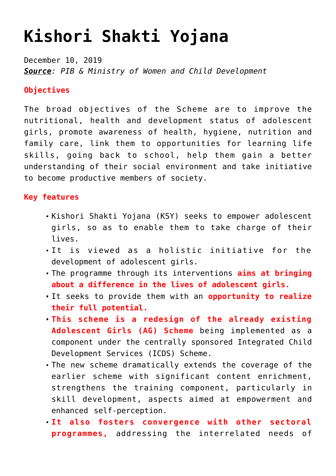## **[Kishori Shakti Yojana](https://journalsofindia.com/kishori-shakti-yojana/)**

December 10, 2019 *Source: PIB & Ministry of Women and Child Development*

## **Objectives**

The broad objectives of the Scheme are to improve the nutritional, health and development status of adolescent girls, promote awareness of health, hygiene, nutrition and family care, link them to opportunities for learning life skills, going back to school, help them gain a better understanding of their social environment and take initiative to become productive members of society.

## **Key features**

- Kishori Shakti Yojana (KSY) seeks to empower adolescent girls, so as to enable them to take charge of their lives.
- It is viewed as a holistic initiative for the development of adolescent girls.
- The programme through its interventions **aims at bringing about a difference in the lives of adolescent girls.**
- It seeks to provide them with an **opportunity to realize their full potential.**
- **This scheme is a redesign of the already existing Adolescent Girls (AG) Scheme** being implemented as a component under the centrally sponsored Integrated Child Development Services (ICDS) Scheme.
- The new scheme dramatically extends the coverage of the earlier scheme with significant content enrichment, strengthens the training component, particularly in skill development, aspects aimed at empowerment and enhanced self-perception.
- **It also fosters convergence with other sectoral programmes,** addressing the interrelated needs of